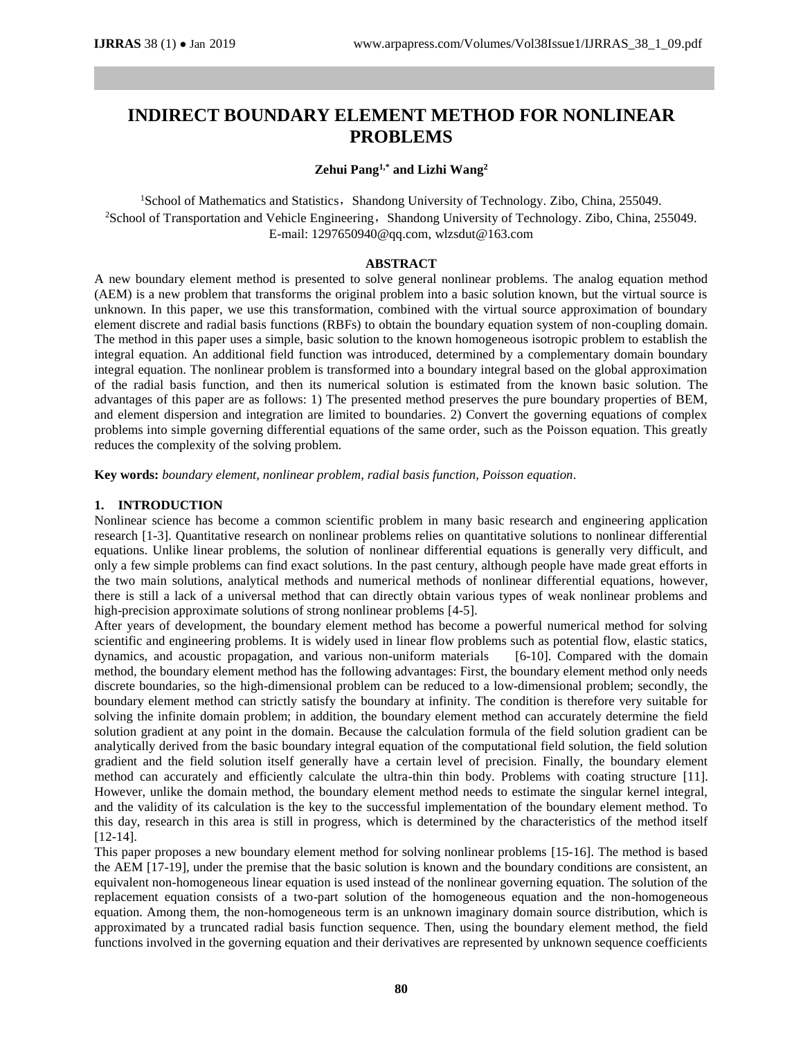# **INDIRECT BOUNDARY ELEMENT METHOD FOR NONLINEAR PROBLEMS**

## **Zehui Pang1,\* and Lizhi Wang<sup>2</sup>**

<sup>1</sup>School of Mathematics and Statistics, Shandong University of Technology. Zibo, China, 255049. <sup>2</sup>School of Transportation and Vehicle Engineering, Shandong University of Technology. Zibo, China, 255049. E-mail: 1297650940@qq.com, wlzsdut@163.com

## **ABSTRACT**

A new boundary element method is presented to solve general nonlinear problems. The analog equation method (AEM) is a new problem that transforms the original problem into a basic solution known, but the virtual source is unknown. In this paper, we use this transformation, combined with the virtual source approximation of boundary element discrete and radial basis functions (RBFs) to obtain the boundary equation system of non-coupling domain. The method in this paper uses a simple, basic solution to the known homogeneous isotropic problem to establish the integral equation. An additional field function was introduced, determined by a complementary domain boundary integral equation. The nonlinear problem is transformed into a boundary integral based on the global approximation of the radial basis function, and then its numerical solution is estimated from the known basic solution. The advantages of this paper are as follows: 1) The presented method preserves the pure boundary properties of BEM, and element dispersion and integration are limited to boundaries. 2) Convert the governing equations of complex problems into simple governing differential equations of the same order, such as the Poisson equation. This greatly reduces the complexity of the solving problem.

**Key words:** *boundary element, nonlinear problem, radial basis function, Poisson equation.*

# **1. INTRODUCTION**

Nonlinear science has become a common scientific problem in many basic research and engineering application research [1-3]. Quantitative research on nonlinear problems relies on quantitative solutions to nonlinear differential equations. Unlike linear problems, the solution of nonlinear differential equations is generally very difficult, and only a few simple problems can find exact solutions. In the past century, although people have made great efforts in the two main solutions, analytical methods and numerical methods of nonlinear differential equations, however, there is still a lack of a universal method that can directly obtain various types of weak nonlinear problems and high-precision approximate solutions of strong nonlinear problems [4-5].

After years of development, the boundary element method has become a powerful numerical method for solving scientific and engineering problems. It is widely used in linear flow problems such as potential flow, elastic statics, dynamics, and acoustic propagation, and various non-uniform materials [6-10]. Compared with the domain dynamics, and acoustic propagation, and various non-uniform materials method, the boundary element method has the following advantages: First, the boundary element method only needs discrete boundaries, so the high-dimensional problem can be reduced to a low-dimensional problem; secondly, the boundary element method can strictly satisfy the boundary at infinity. The condition is therefore very suitable for solving the infinite domain problem; in addition, the boundary element method can accurately determine the field solution gradient at any point in the domain. Because the calculation formula of the field solution gradient can be analytically derived from the basic boundary integral equation of the computational field solution, the field solution gradient and the field solution itself generally have a certain level of precision. Finally, the boundary element method can accurately and efficiently calculate the ultra-thin thin body. Problems with coating structure [11]. However, unlike the domain method, the boundary element method needs to estimate the singular kernel integral, and the validity of its calculation is the key to the successful implementation of the boundary element method. To this day, research in this area is still in progress, which is determined by the characteristics of the method itself [12-14].

This paper proposes a new boundary element method for solving nonlinear problems [15-16]. The method is based the AEM [17-19], under the premise that the basic solution is known and the boundary conditions are consistent, an equivalent non-homogeneous linear equation is used instead of the nonlinear governing equation. The solution of the replacement equation consists of a two-part solution of the homogeneous equation and the non-homogeneous equation. Among them, the non-homogeneous term is an unknown imaginary domain source distribution, which is approximated by a truncated radial basis function sequence. Then, using the boundary element method, the field functions involved in the governing equation and their derivatives are represented by unknown sequence coefficients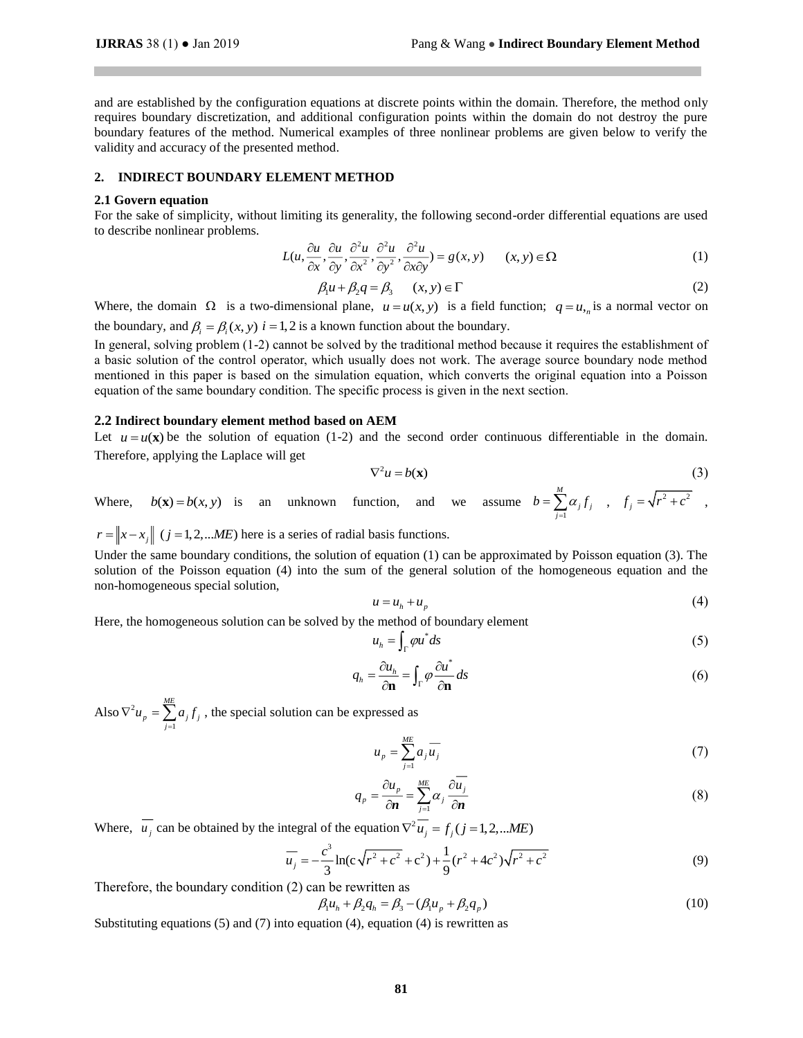and are established by the configuration equations at discrete points within the domain. Therefore, the method only requires boundary discretization, and additional configuration points within the domain do not destroy the pure boundary features of the method. Numerical examples of three nonlinear problems are given below to verify the validity and accuracy of the presented method.

## **2. INDIRECT BOUNDARY ELEMENT METHOD**

#### **2.1 Govern equation**

For the sake of simplicity, without limiting its generality, the following second-order differential equations are used to describe nonlinear problems.

$$
L(u, \frac{\partial u}{\partial x}, \frac{\partial u}{\partial y}, \frac{\partial^2 u}{\partial x^2}, \frac{\partial^2 u}{\partial y^2}, \frac{\partial^2 u}{\partial x \partial y}) = g(x, y) \qquad (x, y) \in \Omega
$$
 (1)

$$
\beta_1 u + \beta_2 q = \beta_3 \qquad (x, y) \in \Gamma \tag{2}
$$

Where, the domain  $\Omega$  is a two-dimensional plane,  $u = u(x, y)$  is a field function;  $q = u_{n}$  is a normal vector on the boundary, and  $\beta_i = \beta_i(x, y)$  *i* = 1, 2 is a known function about the boundary.

In general, solving problem (1-2) cannot be solved by the traditional method because it requires the establishment of a basic solution of the control operator, which usually does not work. The average source boundary node method mentioned in this paper is based on the simulation equation, which converts the original equation into a Poisson equation of the same boundary condition. The specific process is given in the next section.

#### **2.2 Indirect boundary element method based on AEM**

Let  $u = u(\mathbf{x})$  be the solution of equation (1-2) and the second order continuous differentiable in the domain. Therefore, applying the Laplace will get

$$
\nabla^2 u = b(\mathbf{x})\tag{3}
$$

Where,  $b(x) = b(x, y)$  is an unknown function, and we assume 1 *M*  $\sum_{j=1}$  $\alpha_{j}$ ,  $j$  $b = \sum a_i f$  $=\sum_{j=1}^{n} \alpha_j f_j$ ,  $f_j = \sqrt{r^2 + c^2}$ ,

 $r = \|x - x_j\|$  ( $j = 1,2,...ME$ ) here is a series of radial basis functions.

Under the same boundary conditions, the solution of equation (1) can be approximated by Poisson equation (3). The solution of the Poisson equation (4) into the sum of the general solution of the homogeneous equation and the non-homogeneous special solution,

$$
u = u_h + u_p \tag{4}
$$

Here, the homogeneous solution can be solved by the method of boundary element

$$
u_h = \int_{\Gamma} \rho u^* ds \tag{5}
$$

$$
q_h = \frac{\partial u_h}{\partial \mathbf{n}} = \int_{\Gamma} \varphi \frac{\partial u^*}{\partial \mathbf{n}} ds
$$
 (6)

Also  $\nabla^2$ 1 *ME*  $p = \sum_{j=1}^{\infty} a_j j_j$  $\nabla^2 u_p = \sum_{i=1} a_i f_i$ , the special solution can be expressed as

$$
u_p = \sum_{j=1}^{ME} a_j \overline{u_j} \tag{7}
$$

$$
q_p = \frac{\partial u_p}{\partial n} = \sum_{j=1}^{ME} \alpha_j \frac{\partial u_j}{\partial n}
$$
 (8)

Where,  $u_j$  can be obtained by the integral of the equation  $\nabla^2 u_j = f_j (j = 1, 2, ... ME)$ 

$$
\overline{u_j} = -\frac{c^3}{3} \ln(c\sqrt{r^2 + c^2} + c^2) + \frac{1}{9} (r^2 + 4c^2) \sqrt{r^2 + c^2}
$$
(9)

Therefore, the boundary condition (2) can be rewritten as

$$
\beta_1 u_h + \beta_2 q_h = \beta_3 - (\beta_1 u_p + \beta_2 q_p)
$$
\n(10)

Substituting equations  $(5)$  and  $(7)$  into equation  $(4)$ , equation  $(4)$  is rewritten as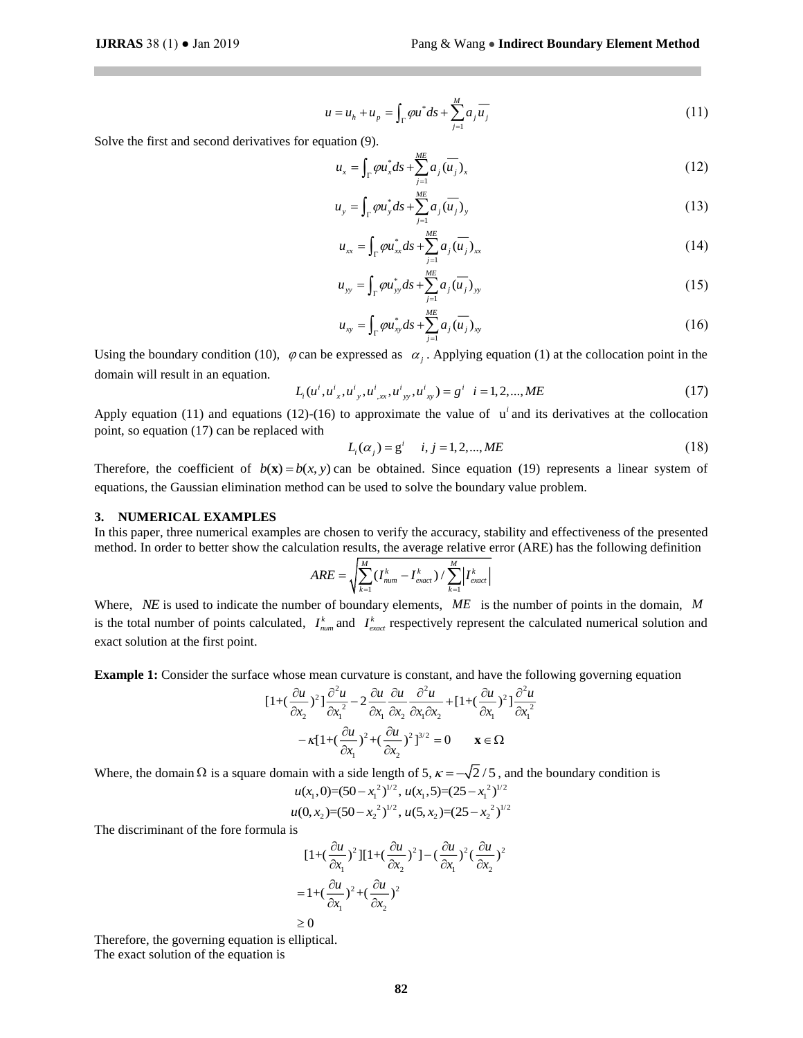$$
u = u_h + u_p = \int_{\Gamma} \rho u^* ds + \sum_{j=1}^{M} a_j \overline{u_j}
$$
 (11)

Solve the first and second derivatives for equation (9).

$$
u_x = \int_{\Gamma} \varphi u_x^* ds + \sum_{j=1}^{ME} a_j \overline{(u_j)}_x \tag{12}
$$

$$
u_{y} = \int_{\Gamma} \varphi u_{y}^{*} ds + \sum_{j=1}^{ME} a_{j} (\overline{u_{j}})_{y}
$$
 (13)

$$
u_{xx} = \int_{\Gamma} \varphi u_{xx}^* ds + \sum_{j=1}^{ME} a_j (\overline{u_j})_{xx}
$$
 (14)

$$
u_{yy} = \int_{\Gamma} \varphi u_{yy}^* ds + \sum_{j=1}^{ME} a_j (\overline{u_j})_{yy}
$$
 (15)

$$
u_{xy} = \int_{\Gamma} \varphi u_{xy}^* ds + \sum_{j=1}^{ME} a_j \overline{(u_j)}_{xy}
$$
 (16)

Using the boundary condition (10),  $\varphi$  can be expressed as  $\alpha_j$ . Applying equation (1) at the collocation point in the domain will result in an equation.

$$
L_i(u^i, u^i{}_x, u^i{}_y, u^i{}_{xx}, u^i{}_{yy}, u^i{}_{xy}) = g^i \quad i = 1, 2, ..., ME
$$
 (17)

Apply equation (11) and equations (12)-(16) to approximate the value of  $\mathbf{u}^i$  and its derivatives at the collocation point, so equation (17) can be replaced with

$$
L_i(\alpha_j) = g^i \quad i, j = 1, 2, ..., ME \tag{18}
$$

Therefore, the coefficient of  $b(x) = b(x, y)$  can be obtained. Since equation (19) represents a linear system of equations, the Gaussian elimination method can be used to solve the boundary value problem.

## **3. NUMERICAL EXAMPLES**

In this paper, three numerical examples are chosen to verify the accuracy, stability and effectiveness of the presented method. In order to better show the calculation results, the average relative error (ARE) has the following definition

$$
ARE = \sqrt{\sum_{k=1}^{M} (I_{num}^k - I_{exact}^k) / \sum_{k=1}^{M} |I_{exact}^k|}
$$

Where, *NE* is used to indicate the number of boundary elements, ME is the number of points in the domain, M is the total number of points calculated,  $I_{num}^k$  and  $I_{exact}^k$  respectively represent the calculated numerical solution and exact solution at the first point.

**Example 1:** Consider the surface whose mean curvature is constant, and have the following governing equation

$$
[1+(\frac{\partial u}{\partial x_2})^2] \frac{\partial^2 u}{\partial x_1^2} - 2 \frac{\partial u}{\partial x_1} \frac{\partial u}{\partial x_2} \frac{\partial^2 u}{\partial x_1 \partial x_2} + [1+(\frac{\partial u}{\partial x_1})^2] \frac{\partial^2 u}{\partial x_1^2}
$$

$$
-\kappa [1+(\frac{\partial u}{\partial x_1})^2 + (\frac{\partial u}{\partial x_2})^2]^{3/2} = 0 \qquad \mathbf{x} \in \Omega
$$

Where, the domain  $\Omega$  is a square domain with a side length of 5,  $\kappa = -\sqrt{2}/5$ , and the boundary condition is

$$
u(x_1,0)=(50-x_1^2)^{1/2}, u(x_1,5)=(25-x_1^2)^{1/2}
$$
  
 
$$
u(0,x_2)=(50-x_2^2)^{1/2}, u(5,x_2)=(25-x_2^2)^{1/2}
$$

The discriminant of the fore formula is

$$
[1+(\frac{\partial u}{\partial x_1})^2][1+(\frac{\partial u}{\partial x_2})^2] - (\frac{\partial u}{\partial x_1})^2(\frac{\partial u}{\partial x_2})^2
$$
  
= 1+(\frac{\partial u}{\partial x\_1})^2 + (\frac{\partial u}{\partial x\_2})^2  
\ge 0

Therefore, the governing equation is elliptical. The exact solution of the equation is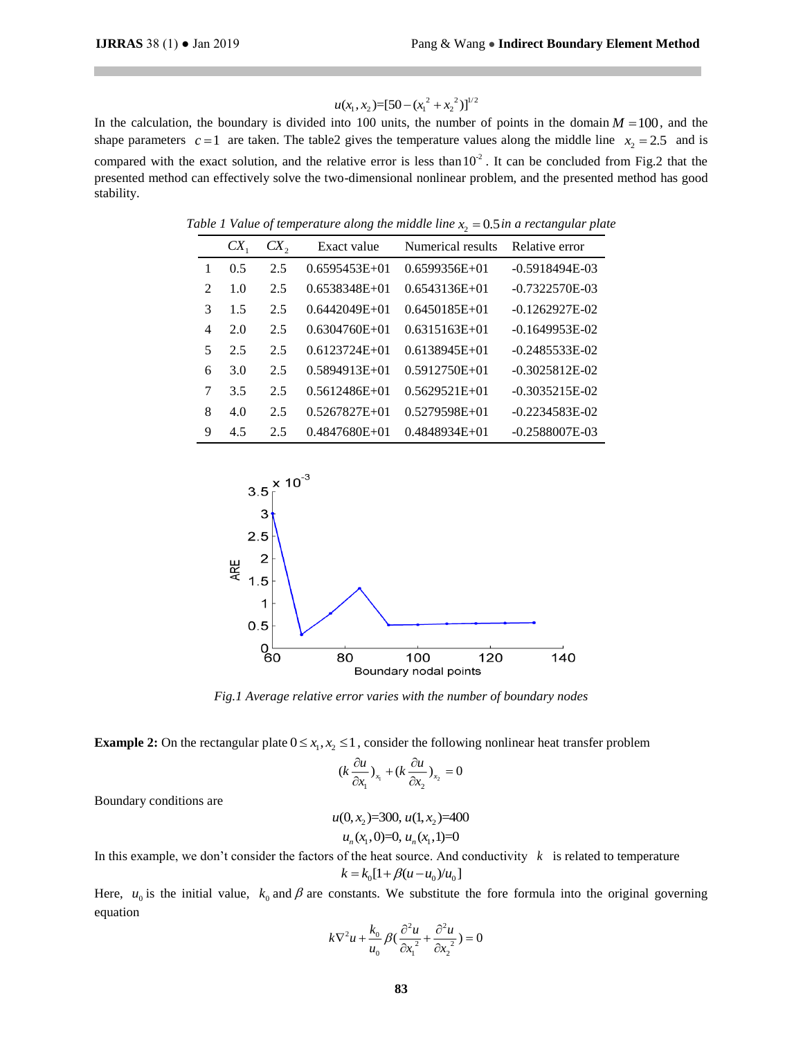$$
u(x_1, x_2) = [50 - (x_1^2 + x_2^2)]^{1/2}
$$

In the calculation, the boundary is divided into 100 units, the number of points in the domain  $M = 100$ , and the shape parameters  $c=1$  are taken. The table 2 gives the temperature values along the middle line  $x_2 = 2.5$  and is compared with the exact solution, and the relative error is less than  $10<sup>2</sup>$ . It can be concluded from Fig.2 that the presented method can effectively solve the two-dimensional nonlinear problem, and the presented method has good stability.

|                             | $CX_{1}$ | CX, | Exact value     | Numerical results | Relative error     |
|-----------------------------|----------|-----|-----------------|-------------------|--------------------|
|                             | 0.5      | 2.5 | $0.6595453E+01$ | $0.6599356E+01$   | $-0.5918494E-03$   |
| $\mathcal{D}_{\mathcal{L}}$ | 1.0      | 2.5 | $0.6538348E+01$ | $0.6543136E+01$   | $-0.7322570E-03$   |
| 3                           | 1.5      | 2.5 | $0.6442049E+01$ | $0.6450185E+01$   | $-0.1262927E - 02$ |
| 4                           | 2.0      | 2.5 | $0.6304760E+01$ | $0.6315163E+01$   | $-0.1649953E-02$   |
| 5                           | 2.5      | 2.5 | $0.6123724E+01$ | $0.6138945E+01$   | $-0.2485533E-02$   |
| 6                           | 3.0      | 2.5 | $0.5894913E+01$ | $0.5912750E+01$   | $-0.3025812E-02$   |
| 7                           | 3.5      | 2.5 | $0.5612486E+01$ | $0.5629521E+01$   | $-0.3035215E-02$   |
| 8                           | 4.0      | 2.5 | $0.5267827E+01$ | $0.5279598E+01$   | $-0.2234583E-02$   |
| 9                           | 4.5      | 2.5 | $0.4847680E+01$ | $0.4848934E+01$   | $-0.2588007E-03$   |

Table 1 Value of temperature along the middle line  $x<sub>2</sub> = 0.5$  in a rectangular plate



*Fig.1 Average relative error varies with the number of boundary nodes*

**Example 2:** On the rectangular plate  $0 \le x_1, x_2 \le 1$ , consider the following nonlinear heat transfer problem

$$
(k\frac{\partial u}{\partial x_1})_{x_1} + (k\frac{\partial u}{\partial x_2})_{x_2} = 0
$$

Boundary conditions are

$$
u(0, x_2)=300, u(1, x_2)=400
$$
  

$$
u_n(x_1, 0)=0, u_n(x_1, 1)=0
$$

In this example, we don't consider the factors of the heat source. And conductivity  $k$  is related to temperature  $k = k_0 [1 + \beta (u - u_0)/u_0]$ 

Here,  $u_0$  is the initial value,  $k_0$  and  $\beta$  are constants. We substitute the fore formula into the original governing equation

$$
k\nabla^2 u + \frac{k_0}{u_0} \beta \left( \frac{\partial^2 u}{\partial x_1^2} + \frac{\partial^2 u}{\partial x_2^2} \right) = 0
$$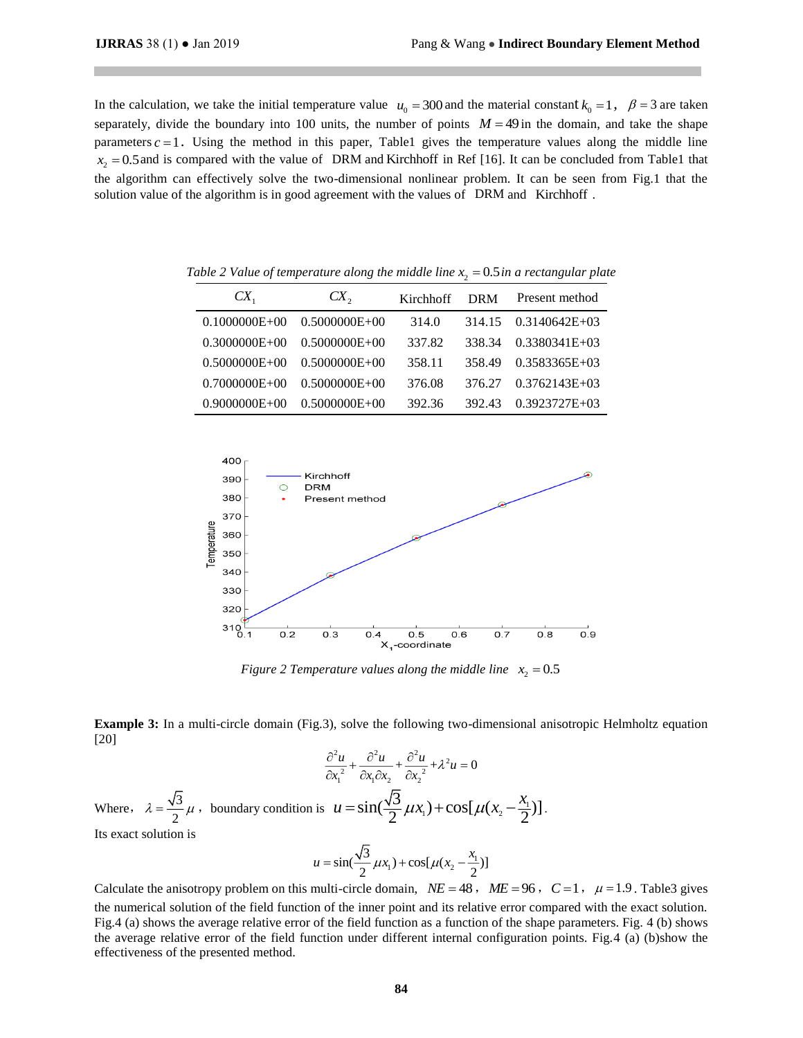In the calculation, we take the initial temperature value  $u_0 = 300$  and the material constant  $k_0 = 1$ ,  $\beta = 3$  are taken separately, divide the boundary into 100 units, the number of points  $M = 49$  in the domain, and take the shape parameters  $c = 1$ . Using the method in this paper, Table1 gives the temperature values along the middle line  $x_2 = 0.5$  and is compared with the value of DRM and Kirchhoff in Ref [16]. It can be concluded from Table1 that the algorithm can effectively solve the two-dimensional nonlinear problem. It can be seen from Fig.1 that the solution value of the algorithm is in good agreement with the values of DRM and Kirchhoff.

| $CX_{1}$          | $CX_{2}$          | Kirchhoff | <b>DRM</b> | Present method  |
|-------------------|-------------------|-----------|------------|-----------------|
| $0.1000000E+00$   | 0.5000000E+00     | 314.0     | 314.15     | $0.3140642E+03$ |
| $0.3000000E + 00$ | $0.5000000E + 00$ | 337.82    | 338.34     | $0.3380341E+03$ |
| $0.5000000E+00$   | $0.5000000E + 00$ | 358.11    | 358.49     | $0.3583365E+03$ |
| $0.7000000E + 00$ | $0.5000000E + 00$ | 376.08    | 376.27     | $0.3762143E+03$ |
| $0.9000000E+00$   | $0.5000000E+00$   | 392.36    | 392.43     | $0.3923727E+03$ |

Table 2 Value of temperature along the middle line  $x<sub>2</sub> = 0.5$  in a rectangular plate



*Figure 2 Temperature values along the middle line*  $x_2 = 0.5$ 

**Example 3:** In a multi-circle domain (Fig.3), solve the following two-dimensional anisotropic Helmholtz equation [20]

$$
\frac{\partial^2 u}{\partial x_1^2} + \frac{\partial^2 u}{\partial x_1 \partial x_2} + \frac{\partial^2 u}{\partial x_2^2} + \lambda^2 u = 0
$$

Where,  $\lambda = \frac{\sqrt{3}}{2}$  $\lambda = \frac{\sqrt{3}}{2} \mu$ , boundary condition is  $u = \sin(\frac{\sqrt{3}}{2}\mu x_1) + \cos[\mu(x_2 - \frac{\lambda_1}{2}\mu x_2)]$  $u = \sin(\frac{\sqrt{3}}{2}\mu x_1) + \cos[\mu(x_2 - \frac{x_1}{2})].$ Its exact solution is

$$
u = \sin(\frac{\sqrt{3}}{2}\mu x_1) + \cos[\mu(x_2 - \frac{x_1}{2})]
$$

Calculate the anisotropy problem on this multi-circle domain,  $NE = 48$ ,  $ME = 96$ ,  $C = 1$ ,  $\mu = 1.9$ . Table3 gives the numerical solution of the field function of the inner point and its relative error compared with the exact solution. Fig.4 (a) shows the average relative error of the field function as a function of the shape parameters. Fig. 4 (b) shows the average relative error of the field function under different internal configuration points. Fig.4 (a) (b)show the effectiveness of the presented method.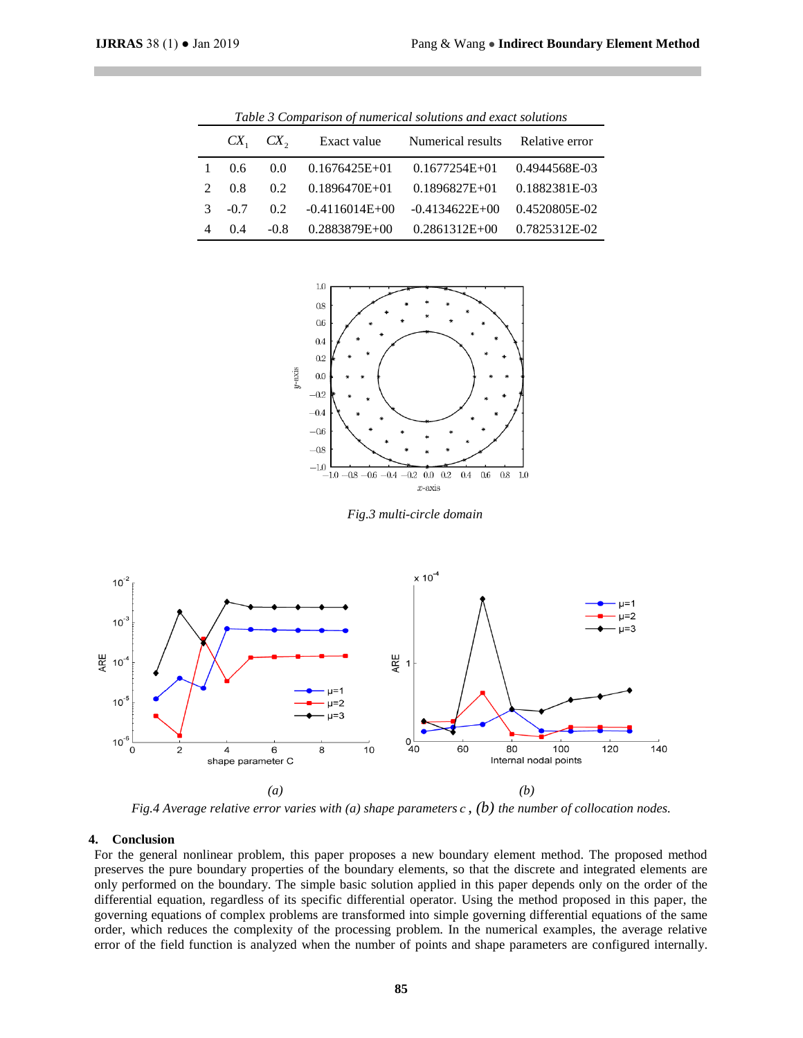| Table 3 Comparison of numerical solutions and exact solutions |        |             |                  |                   |                |  |  |  |
|---------------------------------------------------------------|--------|-------------|------------------|-------------------|----------------|--|--|--|
|                                                               |        | $CX1$ $CX2$ | Exact value      | Numerical results | Relative error |  |  |  |
|                                                               | 0.6    | 0.0         | $0.1676425E+01$  | $0.1677254E+01$   | 0.4944568E-03  |  |  |  |
|                                                               | 0.8    | 02          | $0.1896470E+01$  | $0.1896827E+01$   | 0.1882381E-03  |  |  |  |
| $\mathcal{R}$                                                 | $-0.7$ | 02          | $-0.4116014E+00$ | $-0.4134622E+00$  | 0.4520805E-02  |  |  |  |
| 4                                                             | 0.4    | $-0.8$      | 0.2883879E+00    | $0.2861312E+00$   | 0.7825312E-02  |  |  |  |



*Fig.3 multi-circle domain*



*Fig.4 Average relative error varies with (a) shape parameters <sup>c</sup> , (b) the number of collocation nodes.*

# **4. Conclusion**

For the general nonlinear problem, this paper proposes a new boundary element method. The proposed method preserves the pure boundary properties of the boundary elements, so that the discrete and integrated elements are only performed on the boundary. The simple basic solution applied in this paper depends only on the order of the differential equation, regardless of its specific differential operator. Using the method proposed in this paper, the governing equations of complex problems are transformed into simple governing differential equations of the same order, which reduces the complexity of the processing problem. In the numerical examples, the average relative error of the field function is analyzed when the number of points and shape parameters are configured internally.